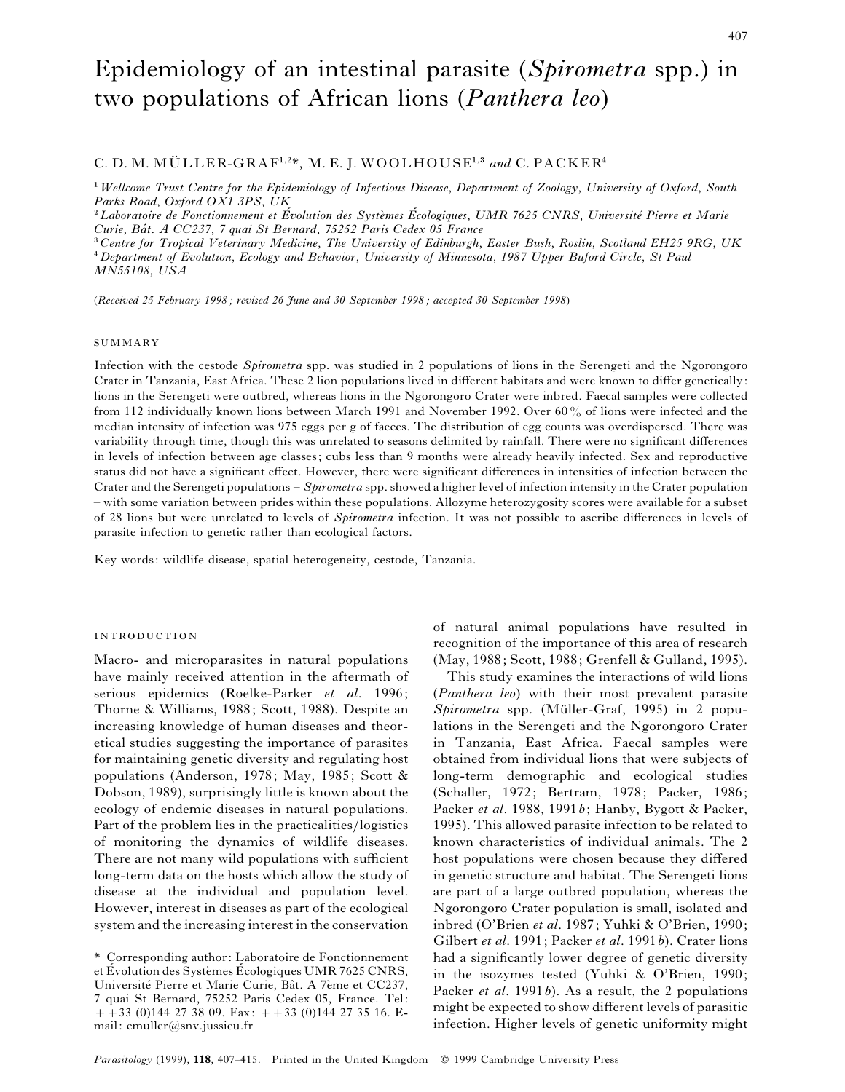# Epidemiology of an intestinal parasite (*Spirometra* spp.) in two populations of African lions (*Panthera leo*)

## C. D. M. MÜLLER-GRAF<sup>1,2\*</sup>, M. E. J. WOOLHOUSE<sup>1,3</sup> and C. PACKER<sup>4</sup>

"*Wellcome Trust Centre for the Epidemiology of Infectious Disease*, *Department of Zoology*, *University of Oxford*, *South Parks Road*, *Oxford OX1 3PS*, *UK*

<sup>2</sup> Laboratoire de Fonctionnement et Évolution des Systèmes Écologiques, *UMR 7625 CNRS*, *Université Pierre et Marie Curie*, *Bât. A CC237, 7 quai St Bernard, 75252 Paris Cedex 05 France* 

 *Centre for Tropical Veterinary Medicine*, *The University of Edinburgh*, *Easter Bush*, *Roslin*, *Scotland EH25 9RG*, *UK* % *Department of Evolution*, *Ecology and Behavior*, *University of Minnesota*, *1987 Upper Buford Circle*, *St Paul MN55108*, *USA*

(*Received 25 February 1998 ; revised 26 June and 30 September 1998 ; accepted 30 September 1998*)

## SUMMARY

Infection with the cestode *Spirometra* spp. was studied in 2 populations of lions in the Serengeti and the Ngorongoro Crater in Tanzania, East Africa. These 2 lion populations lived in different habitats and were known to differ genetically: lions in the Serengeti were outbred, whereas lions in the Ngorongoro Crater were inbred. Faecal samples were collected from 112 individually known lions between March 1991 and November 1992. Over 60% of lions were infected and the median intensity of infection was 975 eggs per g of faeces. The distribution of egg counts was overdispersed. There was variability through time, though this was unrelated to seasons delimited by rainfall. There were no significant differences in levels of infection between age classes; cubs less than 9 months were already heavily infected. Sex and reproductive status did not have a significant effect. However, there were significant differences in intensities of infection between the Crater and the Serengeti populations – *Spirometra* spp. showed a higher level of infection intensity in the Crater population – with some variation between prides within these populations. Allozyme heterozygosity scores were available for a subset of 28 lions but were unrelated to levels of *Spirometra* infection. It was not possible to ascribe differences in levels of parasite infection to genetic rather than ecological factors.

Key words: wildlife disease, spatial heterogeneity, cestode, Tanzania.

#### **INTRODUCTION**

Macro- and microparasites in natural populations have mainly received attention in the aftermath of serious epidemics (Roelke-Parker *et al*. 1996; Thorne & Williams, 1988; Scott, 1988). Despite an increasing knowledge of human diseases and theoretical studies suggesting the importance of parasites for maintaining genetic diversity and regulating host populations (Anderson, 1978; May, 1985; Scott & Dobson, 1989), surprisingly little is known about the ecology of endemic diseases in natural populations. Part of the problem lies in the practicalities/logistics of monitoring the dynamics of wildlife diseases. There are not many wild populations with sufficient long-term data on the hosts which allow the study of disease at the individual and population level. However, interest in diseases as part of the ecological system and the increasing interest in the conservation

\* Corresponding author: Laboratoire de Fonctionnement et Évolution des Systèmes Écologiques UMR 7625 CNRS, Université Pierre et Marie Curie, Bât. A 7ème et CC237, 7 quai St Bernard, 75252 Paris Cedex 05, France. Tel:  $+ +33$  (0)144 27 38 09. Fax:  $+ +33$  (0)144 27 35 16. Email: cmuller@snv.jussieu.fr

of natural animal populations have resulted in recognition of the importance of this area of research (May, 1988; Scott, 1988; Grenfell & Gulland, 1995).

This study examines the interactions of wild lions (*Panthera leo*) with their most prevalent parasite *Spirometra* spp. (Müller-Graf, 1995) in 2 populations in the Serengeti and the Ngorongoro Crater in Tanzania, East Africa. Faecal samples were obtained from individual lions that were subjects of long-term demographic and ecological studies (Schaller, 1972; Bertram, 1978; Packer, 1986; Packer *et al*. 1988, 1991*b*; Hanby, Bygott & Packer, 1995). This allowed parasite infection to be related to known characteristics of individual animals. The 2 host populations were chosen because they differed in genetic structure and habitat. The Serengeti lions are part of a large outbred population, whereas the Ngorongoro Crater population is small, isolated and inbred (O'Brien *et al*. 1987; Yuhki & O'Brien, 1990; Gilbert *et al*. 1991; Packer *et al*. 1991*b*). Crater lions had a significantly lower degree of genetic diversity in the isozymes tested (Yuhki & O'Brien, 1990; Packer *et al*. 1991*b*). As a result, the 2 populations might be expected to show different levels of parasitic infection. Higher levels of genetic uniformity might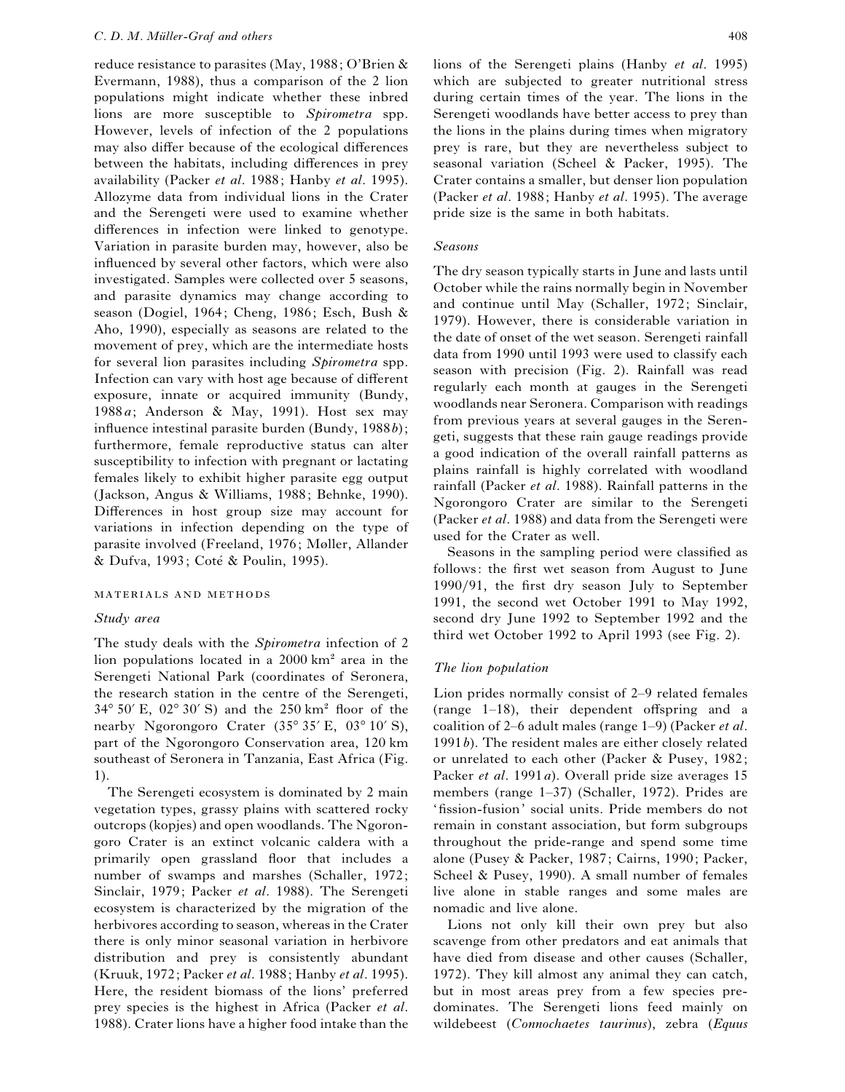## *C*. *D*. *M*. *Mu*X*ller*-*Graf and others* 408

reduce resistance to parasites (May, 1988; O'Brien & Evermann, 1988), thus a comparison of the 2 lion populations might indicate whether these inbred lions are more susceptible to *Spirometra* spp. However, levels of infection of the 2 populations may also differ because of the ecological differences between the habitats, including differences in prey availability (Packer *et al*. 1988; Hanby *et al*. 1995). Allozyme data from individual lions in the Crater and the Serengeti were used to examine whether differences in infection were linked to genotype. Variation in parasite burden may, however, also be influenced by several other factors, which were also investigated. Samples were collected over 5 seasons, and parasite dynamics may change according to season (Dogiel, 1964; Cheng, 1986; Esch, Bush & Aho, 1990), especially as seasons are related to the movement of prey, which are the intermediate hosts for several lion parasites including *Spirometra* spp. Infection can vary with host age because of different exposure, innate or acquired immunity (Bundy, 1988*a*; Anderson & May, 1991). Host sex may influence intestinal parasite burden (Bundy, 1988*b*); furthermore, female reproductive status can alter susceptibility to infection with pregnant or lactating females likely to exhibit higher parasite egg output (Jackson, Angus & Williams, 1988; Behnke, 1990). Differences in host group size may account for variations in infection depending on the type of parasite involved (Freeland, 1976; Møller, Allander & Dufva, 1993; Coté & Poulin, 1995).

## MATERIALS AND METHODS

## *Study area*

The study deals with the *Spirometra* infection of 2 lion populations located in a  $2000 \text{ km}^2$  area in the Serengeti National Park (coordinates of Seronera, the research station in the centre of the Serengeti,  $34^{\circ}$  50' E, 02° 30' S) and the 250 km<sup>2</sup> floor of the nearby Ngorongoro Crater  $(35^{\circ} 35' E, 03^{\circ} 10' S)$ , part of the Ngorongoro Conservation area, 120 km southeast of Seronera in Tanzania, East Africa (Fig. 1).

The Serengeti ecosystem is dominated by 2 main vegetation types, grassy plains with scattered rocky outcrops (kopjes) and open woodlands. The Ngorongoro Crater is an extinct volcanic caldera with a primarily open grassland floor that includes a number of swamps and marshes (Schaller, 1972; Sinclair, 1979; Packer *et al*. 1988). The Serengeti ecosystem is characterized by the migration of the herbivores according to season, whereas in the Crater there is only minor seasonal variation in herbivore distribution and prey is consistently abundant (Kruuk, 1972; Packer *et al*. 1988; Hanby *et al*. 1995). Here, the resident biomass of the lions' preferred prey species is the highest in Africa (Packer *et al*. 1988). Crater lions have a higher food intake than the lions of the Serengeti plains (Hanby *et al*. 1995) which are subjected to greater nutritional stress during certain times of the year. The lions in the Serengeti woodlands have better access to prey than the lions in the plains during times when migratory prey is rare, but they are nevertheless subject to seasonal variation (Scheel & Packer, 1995). The Crater contains a smaller, but denser lion population (Packer *et al*. 1988; Hanby *et al*. 1995). The average pride size is the same in both habitats.

#### *Seasons*

The dry season typically starts in June and lasts until October while the rains normally begin in November and continue until May (Schaller, 1972; Sinclair, 1979). However, there is considerable variation in the date of onset of the wet season. Serengeti rainfall data from 1990 until 1993 were used to classify each season with precision (Fig. 2). Rainfall was read regularly each month at gauges in the Serengeti woodlands near Seronera. Comparison with readings from previous years at several gauges in the Serengeti, suggests that these rain gauge readings provide a good indication of the overall rainfall patterns as plains rainfall is highly correlated with woodland rainfall (Packer *et al*. 1988). Rainfall patterns in the Ngorongoro Crater are similar to the Serengeti (Packer *et al*. 1988) and data from the Serengeti were used for the Crater as well.

Seasons in the sampling period were classified as follows: the first wet season from August to June 1990/91, the first dry season July to September 1991, the second wet October 1991 to May 1992, second dry June 1992 to September 1992 and the third wet October 1992 to April 1993 (see Fig. 2).

## *The lion population*

Lion prides normally consist of 2–9 related females (range 1–18), their dependent offspring and a coalition of 2–6 adult males (range 1–9) (Packer *et al*. 1991*b*). The resident males are either closely related or unrelated to each other (Packer & Pusey, 1982; Packer *et al*. 1991*a*). Overall pride size averages 15 members (range 1–37) (Schaller, 1972). Prides are 'fission-fusion' social units. Pride members do not remain in constant association, but form subgroups throughout the pride-range and spend some time alone (Pusey & Packer, 1987; Cairns, 1990; Packer, Scheel & Pusey, 1990). A small number of females live alone in stable ranges and some males are nomadic and live alone.

Lions not only kill their own prey but also scavenge from other predators and eat animals that have died from disease and other causes (Schaller, 1972). They kill almost any animal they can catch, but in most areas prey from a few species predominates. The Serengeti lions feed mainly on wildebeest (*Connochaetes taurinus*), zebra (*Equus*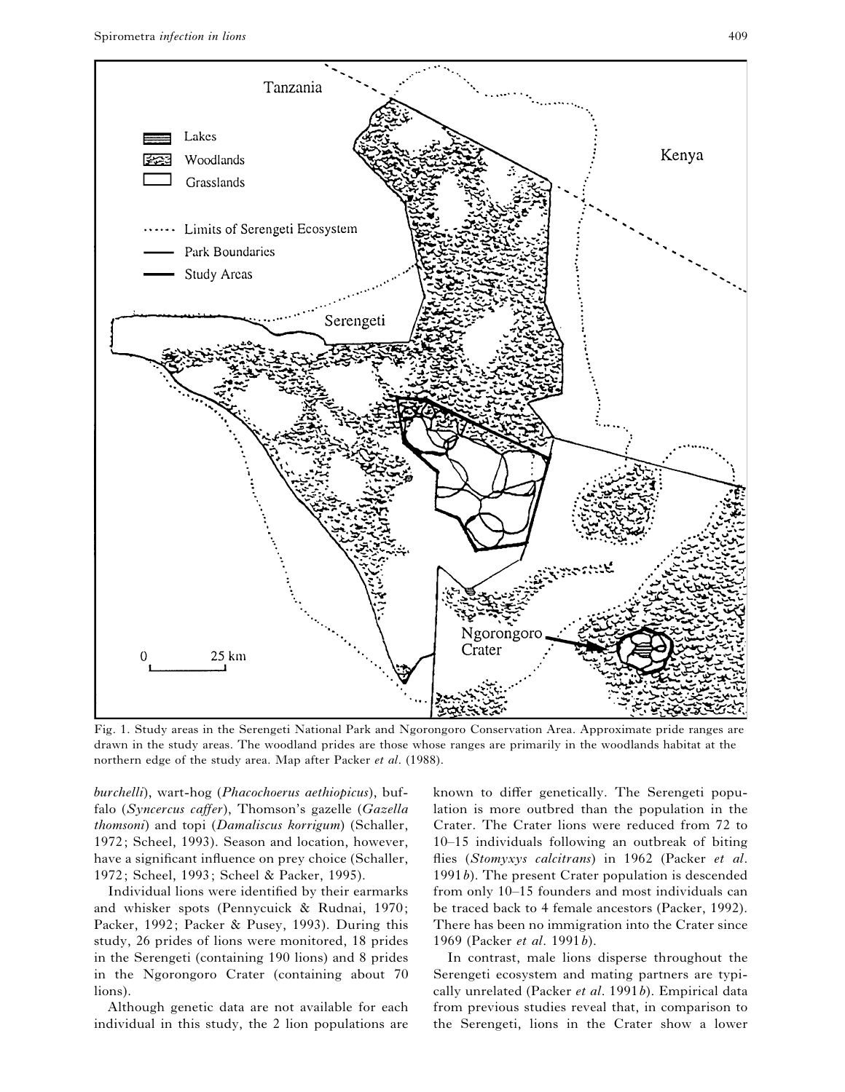

Fig. 1. Study areas in the Serengeti National Park and Ngorongoro Conservation Area. Approximate pride ranges are drawn in the study areas. The woodland prides are those whose ranges are primarily in the woodlands habitat at the northern edge of the study area. Map after Packer *et al*. (1988).

*burchelli*), wart-hog (*Phacochoerus aethiopicus*), buffalo (*Syncercus caffer*), Thomson's gazelle (*Gazella thomsoni*) and topi (*Damaliscus korrigum*) (Schaller, 1972; Scheel, 1993). Season and location, however, have a significant influence on prey choice (Schaller, 1972; Scheel, 1993; Scheel & Packer, 1995).

Individual lions were identified by their earmarks and whisker spots (Pennycuick & Rudnai, 1970; Packer, 1992; Packer & Pusey, 1993). During this study, 26 prides of lions were monitored, 18 prides in the Serengeti (containing 190 lions) and 8 prides in the Ngorongoro Crater (containing about 70 lions).

Although genetic data are not available for each individual in this study, the 2 lion populations are known to differ genetically. The Serengeti population is more outbred than the population in the Crater. The Crater lions were reduced from 72 to 10–15 individuals following an outbreak of biting flies (*Stomyxys calcitrans*) in 1962 (Packer *et al*. 1991*b*). The present Crater population is descended from only 10–15 founders and most individuals can be traced back to 4 female ancestors (Packer, 1992). There has been no immigration into the Crater since 1969 (Packer *et al*. 1991*b*).

In contrast, male lions disperse throughout the Serengeti ecosystem and mating partners are typically unrelated (Packer *et al*. 1991*b*). Empirical data from previous studies reveal that, in comparison to the Serengeti, lions in the Crater show a lower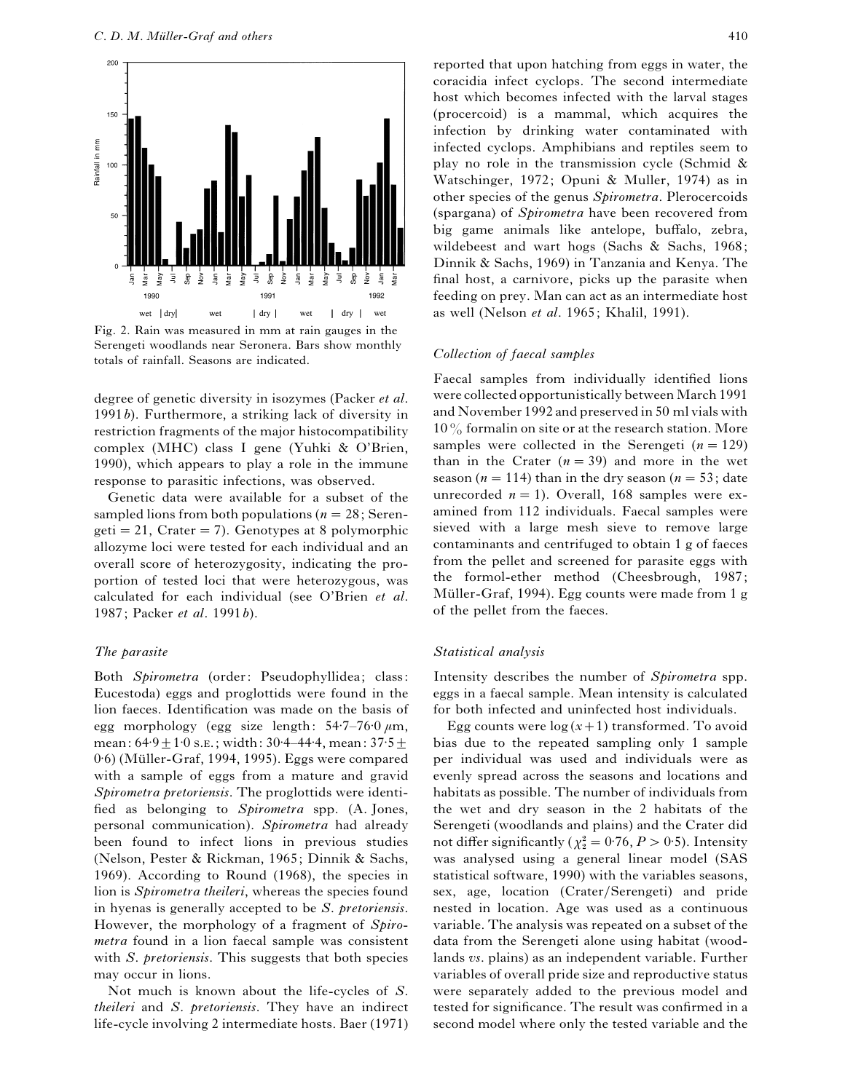

Fig. 2. Rain was measured in mm at rain gauges in the Serengeti woodlands near Seronera. Bars show monthly totals of rainfall. Seasons are indicated.

degree of genetic diversity in isozymes (Packer *et al*. 1991*b*). Furthermore, a striking lack of diversity in restriction fragments of the major histocompatibility complex (MHC) class I gene (Yuhki & O'Brien, 1990), which appears to play a role in the immune response to parasitic infections, was observed.

Genetic data were available for a subset of the sampled lions from both populations ( $n=28$ ; Seren $geti = 21$ , Crater = 7). Genotypes at 8 polymorphic allozyme loci were tested for each individual and an overall score of heterozygosity, indicating the proportion of tested loci that were heterozygous, was calculated for each individual (see O'Brien *et al*. 1987; Packer *et al*. 1991*b*).

## *The parasite*

Both *Spirometra* (order: Pseudophyllidea; class: Eucestoda) eggs and proglottids were found in the lion faeces. Identification was made on the basis of egg morphology (egg size length:  $54.7-76.0 \mu m$ , mean:  $64.9 \pm 1.0$  s.e.; width:  $30.4-44.4$ , mean:  $37.5 \pm$ 0.6) (Müller-Graf, 1994, 1995). Eggs were compared with a sample of eggs from a mature and gravid *Spirometra pretoriensis*. The proglottids were identified as belonging to *Spirometra* spp. (A. Jones, personal communication). *Spirometra* had already been found to infect lions in previous studies (Nelson, Pester & Rickman, 1965; Dinnik & Sachs, 1969). According to Round (1968), the species in lion is *Spirometra theileri*, whereas the species found in hyenas is generally accepted to be *S*. *pretoriensis*. However, the morphology of a fragment of *Spirometra* found in a lion faecal sample was consistent with *S*. *pretoriensis*. This suggests that both species may occur in lions.

Not much is known about the life-cycles of *S*. *theileri* and *S*. *pretoriensis*. They have an indirect life-cycle involving 2 intermediate hosts. Baer (1971)

reported that upon hatching from eggs in water, the coracidia infect cyclops. The second intermediate host which becomes infected with the larval stages (procercoid) is a mammal, which acquires the infection by drinking water contaminated with infected cyclops. Amphibians and reptiles seem to play no role in the transmission cycle (Schmid & Watschinger, 1972; Opuni & Muller, 1974) as in other species of the genus *Spirometra*. Plerocercoids (spargana) of *Spirometra* have been recovered from big game animals like antelope, buffalo, zebra, wildebeest and wart hogs (Sachs & Sachs, 1968; Dinnik & Sachs, 1969) in Tanzania and Kenya. The final host, a carnivore, picks up the parasite when feeding on prey. Man can act as an intermediate host as well (Nelson *et al*. 1965; Khalil, 1991).

# *Collection of faecal samples*

Faecal samples from individually identified lions were collected opportunistically between March 1991 and November 1992 and preserved in 50 ml vials with  $10\%$  formalin on site or at the research station. More samples were collected in the Serengeti  $(n=129)$ than in the Crater  $(n=39)$  and more in the wet season ( $n = 114$ ) than in the dry season ( $n = 53$ ; date unrecorded  $n=1$ ). Overall, 168 samples were examined from 112 individuals. Faecal samples were sieved with a large mesh sieve to remove large contaminants and centrifuged to obtain 1 g of faeces from the pellet and screened for parasite eggs with the formol-ether method (Cheesbrough, 1987; Müller-Graf, 1994). Egg counts were made from 1 g of the pellet from the faeces.

# *Statistical analysis*

Intensity describes the number of *Spirometra* spp. eggs in a faecal sample. Mean intensity is calculated for both infected and uninfected host individuals.

Egg counts were  $log(x+1)$  transformed. To avoid bias due to the repeated sampling only 1 sample per individual was used and individuals were as evenly spread across the seasons and locations and habitats as possible. The number of individuals from the wet and dry season in the 2 habitats of the Serengeti (woodlands and plains) and the Crater did Serengen (woodlands and plains) and the Crater did-<br>not differ significantly ( $\chi^2 = 0.76, P > 0.5$ ). Intensity was analysed using a general linear model (SAS statistical software, 1990) with the variables seasons, sex, age, location (Crater/Serengeti) and pride nested in location. Age was used as a continuous variable. The analysis was repeated on a subset of the data from the Serengeti alone using habitat (woodlands *vs*. plains) as an independent variable. Further variables of overall pride size and reproductive status were separately added to the previous model and tested for significance. The result was confirmed in a second model where only the tested variable and the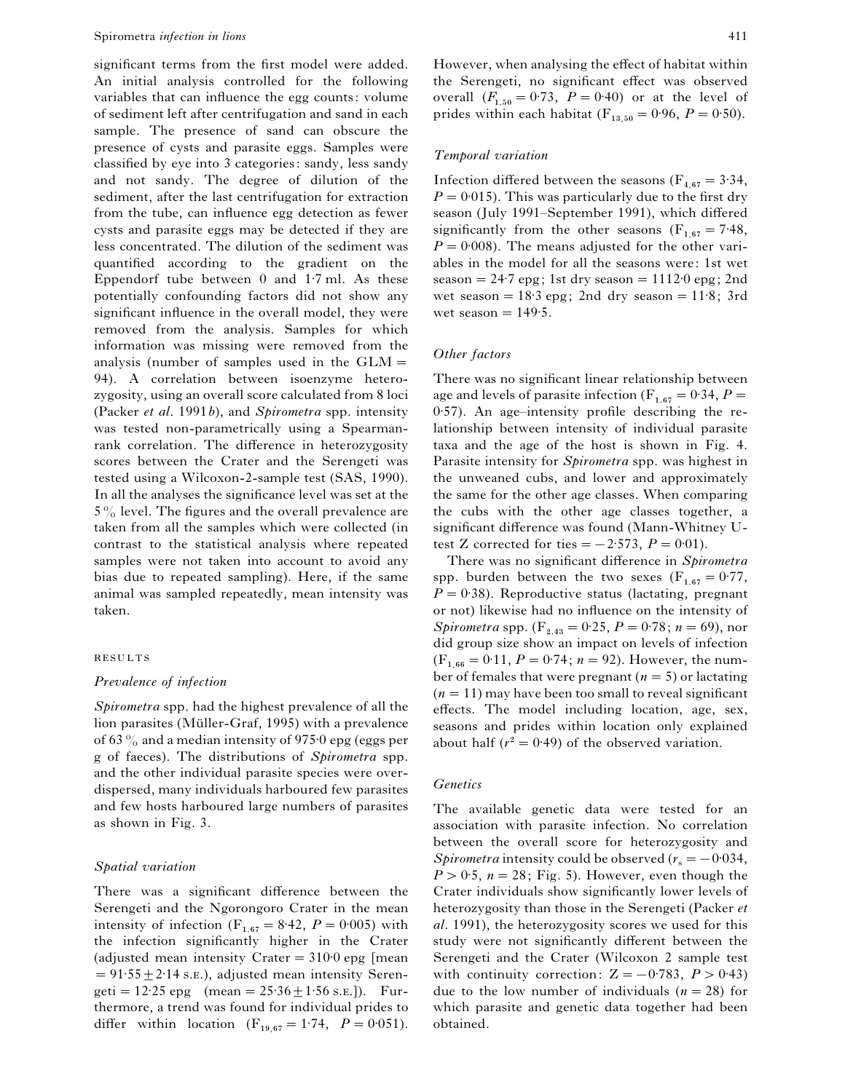significant terms from the first model were added. An initial analysis controlled for the following variables that can influence the egg counts: volume of sediment left after centrifugation and sand in each sample. The presence of sand can obscure the presence of cysts and parasite eggs. Samples were classified by eye into 3 categories: sandy, less sandy and not sandy. The degree of dilution of the sediment, after the last centrifugation for extraction from the tube, can influence egg detection as fewer cysts and parasite eggs may be detected if they are less concentrated. The dilution of the sediment was quantified according to the gradient on the Eppendorf tube between  $0$  and  $1·7$  ml. As these potentially confounding factors did not show any significant influence in the overall model, they were removed from the analysis. Samples for which information was missing were removed from the analysis (number of samples used in the  $GLM =$ 94). A correlation between isoenzyme heterozygosity, using an overall score calculated from 8 loci (Packer *et al*. 1991*b*), and *Spirometra* spp. intensity was tested non-parametrically using a Spearmanrank correlation. The difference in heterozygosity scores between the Crater and the Serengeti was tested using a Wilcoxon-2-sample test (SAS, 1990). In all the analyses the significance level was set at the  $5\%$  level. The figures and the overall prevalence are taken from all the samples which were collected (in contrast to the statistical analysis where repeated samples were not taken into account to avoid any bias due to repeated sampling). Here, if the same animal was sampled repeatedly, mean intensity was taken.

#### **RESULTS**

## *Prevalence of infection*

*Spirometra* spp. had the highest prevalence of all the lion parasites (Müller-Graf, 1995) with a prevalence of 63% and a median intensity of 975 $\cdot$ 0 epg (eggs per g of faeces). The distributions of *Spirometra* spp. and the other individual parasite species were overdispersed, many individuals harboured few parasites and few hosts harboured large numbers of parasites as shown in Fig. 3.

# *Spatial variation*

There was a significant difference between the Serengeti and the Ngorongoro Crater in the mean intensity of infection ( $F_{1,67} = 8.42$ ,  $P = 0.005$ ) with the infection significantly higher in the Crater (adjusted mean intensity Crater  $= 310.0$  epg [mean]  $= 91.55 \pm 2.14$  s.e.), adjusted mean intensity Serengeti = 12:25 epg (mean =  $25.36 \pm 1.56$  s. E.]). Furthermore, a trend was found for individual prides to differ within location  $(F_{19.67} = 1.74, P = 0.051)$ . However, when analysing the effect of habitat within the Serengeti, no significant effect was observed overall  $(F_{1,50} = 0.73, P = 0.40)$  or at the level of prides within each habitat ( $F_{13,50} = 0.96$ ,  $P = 0.50$ ).

#### *Temporal variation*

Infection differed between the seasons ( $F_{4,67} = 3.34$ ,  $P = 0.015$ ). This was particularly due to the first dry season (July 1991–September 1991), which differed significantly from the other seasons ( $F_{1,67} = 7.48$ ,  $P = 0.008$ ). The means adjusted for the other variables in the model for all the seasons were: 1st wet season = 24 $\cdot$ 7 epg; 1st dry season = 1112 $\cdot$ 0 epg; 2nd wet season =  $18.3$  epg; 2nd dry season =  $11.8$ ; 3rd wet season  $=149.5$ .

## *Other factors*

There was no significant linear relationship between age and levels of parasite infection ( $F_{1,67} = 0.34, P =$  $0.57$ ). An age–intensity profile describing the relationship between intensity of individual parasite taxa and the age of the host is shown in Fig. 4. Parasite intensity for *Spirometra* spp. was highest in the unweaned cubs, and lower and approximately the same for the other age classes. When comparing the cubs with the other age classes together, a significant difference was found (Mann-Whitney Utest Z corrected for ties  $=$  -2.573,  $P = 0.01$ ).

There was no significant difference in *Spirometra* spp. burden between the two sexes ( $F_{1,67} = 0.77$ ,  $P = 0.38$ ). Reproductive status (lactating, pregnant or not) likewise had no influence on the intensity of *Spirometra* spp. ( $F_{2,43} = 0.25, P = 0.78; n = 69$ ), nor did group size show an impact on levels of infection  $(F_{1,66} = 0.11, P = 0.74; n = 92)$ . However, the number of females that were pregnant  $(n=5)$  or lactating  $(n = 11)$  may have been too small to reveal significant effects. The model including location, age, sex, seasons and prides within location only explained about half  $(r^2 = 0.49)$  of the observed variation.

## *Genetics*

The available genetic data were tested for an association with parasite infection. No correlation between the overall score for heterozygosity and *Spirometra* intensity could be observed  $(r_s = -0.034,$  $P > 0.5$ ,  $n = 28$ ; Fig. 5). However, even though the Crater individuals show significantly lower levels of heterozygosity than those in the Serengeti (Packer *et al*. 1991), the heterozygosity scores we used for this study were not significantly different between the Serengeti and the Crater (Wilcoxon 2 sample test with continuity correction:  $Z = -0.783$ ,  $P > 0.43$ ) due to the low number of individuals  $(n=28)$  for which parasite and genetic data together had been obtained.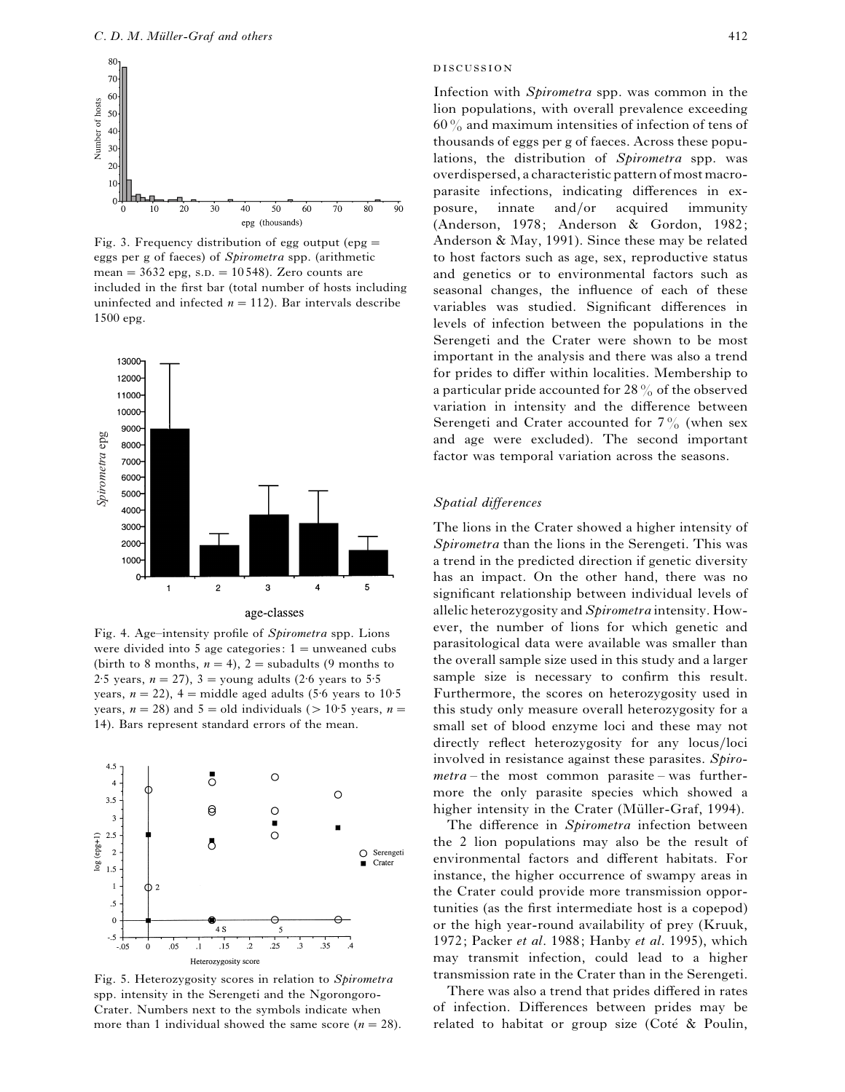

Fig. 3. Frequency distribution of egg output (epg  $=$ eggs per g of faeces) of *Spirometra* spp. (arithmetic mean =  $3632$  epg, s.p. =  $10548$ ). Zero counts are included in the first bar (total number of hosts including uninfected and infected  $n = 112$ ). Bar intervals describe 1500 epg.



age-classes

Fig. 4. Age–intensity profile of *Spirometra* spp. Lions were divided into 5 age categories:  $1 =$ unweaned cubs (birth to 8 months,  $n = 4$ ), 2 = subadults (9 months to 2.5 years,  $n = 27$ ),  $3 =$ young adults (2.6 years to 5.5 years,  $n = 22$ ),  $4 =$ middle aged adults (5 $\cdot$ 6 years to 10 $\cdot$ 5 years,  $n = 28$ ) and  $5 =$ old individuals ( $> 10.5$  years,  $n =$ 14). Bars represent standard errors of the mean.



Fig. 5. Heterozygosity scores in relation to *Spirometra* spp. intensity in the Serengeti and the Ngorongoro-Crater. Numbers next to the symbols indicate when more than 1 individual showed the same score  $(n = 28)$ .

## **DISCUSSION**

Infection with *Spirometra* spp. was common in the lion populations, with overall prevalence exceeding  $60\%$  and maximum intensities of infection of tens of thousands of eggs per g of faeces. Across these populations, the distribution of *Spirometra* spp. was overdispersed, a characteristic pattern of most macroparasite infections, indicating differences in exposure, innate and/or acquired immunity (Anderson, 1978; Anderson & Gordon, 1982; Anderson & May, 1991). Since these may be related to host factors such as age, sex, reproductive status and genetics or to environmental factors such as seasonal changes, the influence of each of these variables was studied. Significant differences in levels of infection between the populations in the Serengeti and the Crater were shown to be most important in the analysis and there was also a trend for prides to differ within localities. Membership to a particular pride accounted for 28 $\%$  of the observed variation in intensity and the difference between Serengeti and Crater accounted for  $7\%$  (when sex and age were excluded). The second important factor was temporal variation across the seasons.

## *Spatial differences*

The lions in the Crater showed a higher intensity of *Spirometra* than the lions in the Serengeti. This was a trend in the predicted direction if genetic diversity has an impact. On the other hand, there was no significant relationship between individual levels of allelic heterozygosity and *Spirometra* intensity. However, the number of lions for which genetic and parasitological data were available was smaller than the overall sample size used in this study and a larger sample size is necessary to confirm this result. Furthermore, the scores on heterozygosity used in this study only measure overall heterozygosity for a small set of blood enzyme loci and these may not directly reflect heterozygosity for any locus/loci involved in resistance against these parasites. *Spirometra –* the most common parasite – was furthermore the only parasite species which showed a higher intensity in the Crater (Müller-Graf, 1994).

The difference in *Spirometra* infection between the 2 lion populations may also be the result of environmental factors and different habitats. For instance, the higher occurrence of swampy areas in the Crater could provide more transmission opportunities (as the first intermediate host is a copepod) or the high year-round availability of prey (Kruuk, 1972; Packer *et al*. 1988; Hanby *et al*. 1995), which may transmit infection, could lead to a higher transmission rate in the Crater than in the Serengeti.

There was also a trend that prides differed in rates of infection. Differences between prides may be related to habitat or group size (Coté  $\&$  Poulin,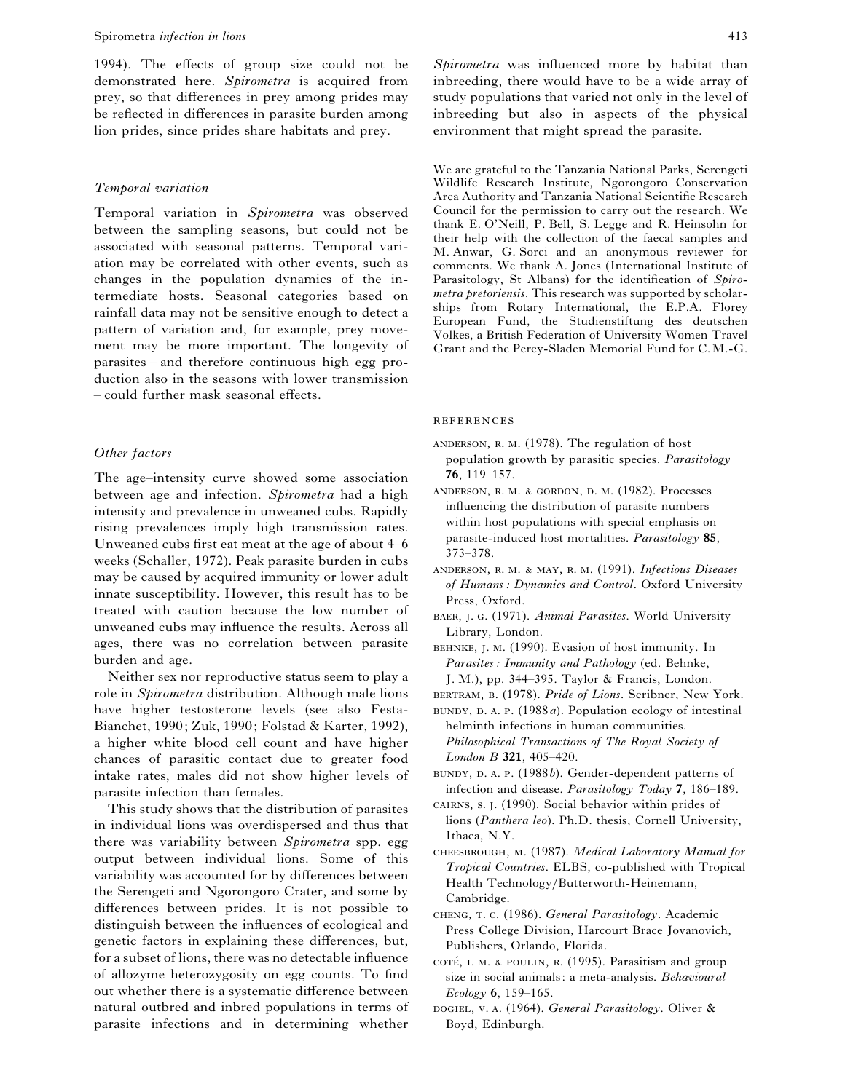1994). The effects of group size could not be demonstrated here. *Spirometra* is acquired from prey, so that differences in prey among prides may be reflected in differences in parasite burden among lion prides, since prides share habitats and prey.

## *Temporal variation*

Temporal variation in *Spirometra* was observed between the sampling seasons, but could not be associated with seasonal patterns. Temporal variation may be correlated with other events, such as changes in the population dynamics of the intermediate hosts. Seasonal categories based on rainfall data may not be sensitive enough to detect a pattern of variation and, for example, prey movement may be more important. The longevity of parasites – and therefore continuous high egg production also in the seasons with lower transmission – could further mask seasonal effects.

# *Other factors*

The age–intensity curve showed some association between age and infection. *Spirometra* had a high intensity and prevalence in unweaned cubs. Rapidly rising prevalences imply high transmission rates. Unweaned cubs first eat meat at the age of about 4–6 weeks (Schaller, 1972). Peak parasite burden in cubs may be caused by acquired immunity or lower adult innate susceptibility. However, this result has to be treated with caution because the low number of unweaned cubs may influence the results. Across all ages, there was no correlation between parasite burden and age.

Neither sex nor reproductive status seem to play a role in *Spirometra* distribution. Although male lions have higher testosterone levels (see also Festa-Bianchet, 1990; Zuk, 1990; Folstad & Karter, 1992), a higher white blood cell count and have higher chances of parasitic contact due to greater food intake rates, males did not show higher levels of parasite infection than females.

This study shows that the distribution of parasites in individual lions was overdispersed and thus that there was variability between *Spirometra* spp. egg output between individual lions. Some of this variability was accounted for by differences between the Serengeti and Ngorongoro Crater, and some by differences between prides. It is not possible to distinguish between the influences of ecological and genetic factors in explaining these differences, but, for a subset of lions, there was no detectable influence of allozyme heterozygosity on egg counts. To find out whether there is a systematic difference between natural outbred and inbred populations in terms of parasite infections and in determining whether

*Spirometra* was influenced more by habitat than inbreeding, there would have to be a wide array of study populations that varied not only in the level of inbreeding but also in aspects of the physical environment that might spread the parasite.

We are grateful to the Tanzania National Parks, Serengeti Wildlife Research Institute, Ngorongoro Conservation Area Authority and Tanzania National Scientific Research Council for the permission to carry out the research. We thank E. O'Neill, P. Bell, S. Legge and R. Heinsohn for their help with the collection of the faecal samples and M. Anwar, G. Sorci and an anonymous reviewer for comments. We thank A. Jones (International Institute of Parasitology, St Albans) for the identification of *Spirometra pretoriensis*. This research was supported by scholarships from Rotary International, the E.P.A. Florey European Fund, the Studienstiftung des deutschen Volkes, a British Federation of University Women Travel Grant and the Percy-Sladen Memorial Fund for C.M.-G.

#### **REFERENCES**

- ANDERSON, R. M.  $(1978)$ . The regulation of host population growth by parasitic species. *Parasitology* **76**, 119–157.
- ANDERSON, R. M. & GORDON, D. M. (1982). Processes influencing the distribution of parasite numbers within host populations with special emphasis on parasite-induced host mortalities. *Parasitology* **85**, 373–378.
- ANDERSON, R. M. & MAY, R. M. (1991). *Infectious Diseases of Humans : Dynamics and Control*. Oxford University Press, Oxford.
- BAER, J. G. (1971). *Animal Parasites*. World University Library, London.
- BEHNKE, J. M. (1990). Evasion of host immunity. In *Parasites : Immunity and Pathology* (ed. Behnke, J. M.), pp. 344–395. Taylor & Francis, London.
- BERTRAM, B. (1978). *Pride of Lions*. Scribner, New York. BUNDY, D. A. P.  $(1988a)$ . Population ecology of intestinal
- helminth infections in human communities. *Philosophical Transactions of The Royal Society of London B* **321**, 405–420.
- BUNDY, D. A. P. (1988b). Gender-dependent patterns of infection and disease. *Parasitology Today* **7**, 186–189.
- CAIRNS, S. J. (1990). Social behavior within prides of lions (*Panthera leo*). Ph.D. thesis, Cornell University, Ithaca, N.Y.
- CHEESBROUGH, M. (1987). *Medical Laboratory Manual for Tropical Countries*. ELBS, co-published with Tropical Health Technology/Butterworth-Heinemann, Cambridge.
- CHENG, T. C. (1986). *General Parasitology*. Academic Press College Division, Harcourt Brace Jovanovich, Publishers, Orlando, Florida.
- coré, I. M. & POULIN, R. (1995). Parasitism and group size in social animals: a meta-analysis. *Behavioural Ecology* **6**, 159–165.
- DOGIEL, V. A. (1964). *General Parasitology*. Oliver & Boyd, Edinburgh.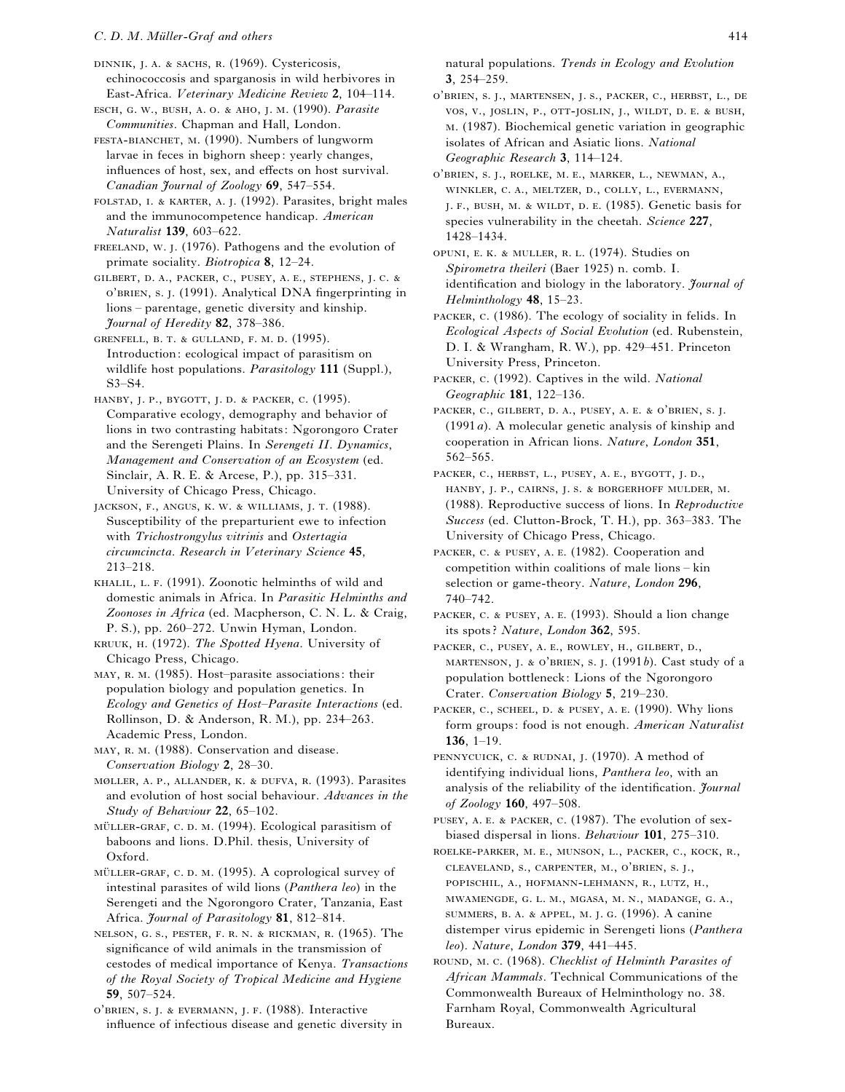## *C*. *D*. *M*. *Mu*X*ller*-*Graf and others* 414

DINNIK, J. A. & SACHS, R. (1969). Cystericosis, echinococcosis and sparganosis in wild herbivores in East-Africa. *Veterinary Medicine Review* **2**, 104–114.

ESCH, G. W., BUSH, A. O. & AHO, J. M. (1990). *Parasite Communities*. Chapman and Hall, London.

FESTA-BIANCHET, M. (1990). Numbers of lungworm larvae in feces in bighorn sheep: yearly changes, influences of host, sex, and effects on host survival. *Canadian Journal of Zoology* **69**, 547–554.

FOLSTAD, I. & KARTER, A. J. (1992). Parasites, bright males and the immunocompetence handicap. *American Naturalist* **139**, 603–622.

FREELAND, W. J. (1976). Pathogens and the evolution of primate sociality. *Biotropica* **8**, 12–24.

GILBERT, D. A., PACKER, C., PUSEY, A. E., STEPHENS, J. C. & o'BRIEN, s. J. (1991). Analytical DNA fingerprinting in lions – parentage, genetic diversity and kinship. *Journal of Heredity* **82**, 378–386.

GRENFELL, B. T. & GULLAND, F. M. D. (1995). Introduction: ecological impact of parasitism on wildlife host populations. *Parasitology* **111** (Suppl.), S3–S4.

HANBY, J. P., BYGOTT, J. D. & PACKER, C. (1995). Comparative ecology, demography and behavior of lions in two contrasting habitats: Ngorongoro Crater and the Serengeti Plains. In *Serengeti II*. *Dynamics*, *Management and Conservation of an Ecosystem* (ed. Sinclair, A. R. E. & Arcese, P.), pp. 315–331. University of Chicago Press, Chicago.

JACKSON, F., ANGUS, K. W. & WILLIAMS, J. T. (1988). Susceptibility of the preparturient ewe to infection with *Trichostrongylus vitrinis* and *Ostertagia circumcincta*. *Research in Veterinary Science* **45**, 213–218.

KHALIL, L. F. (1991). Zoonotic helminths of wild and domestic animals in Africa. In *Parasitic Helminths and Zoonoses in Africa* (ed. Macpherson, C. N. L. & Craig, P. S.), pp. 260–272. Unwin Hyman, London.

KRUUK, H. (1972). *The Spotted Hyena*. University of Chicago Press, Chicago.

MAY, R. M. (1985). Host-parasite associations: their population biology and population genetics. In *Ecology and Genetics of Host–Parasite Interactions* (ed. Rollinson, D. & Anderson, R. M.), pp. 234–263. Academic Press, London.

MAY, R. M. (1988). Conservation and disease. *Conservation Biology* **2**, 28–30.

MØLLER, A. P., ALLANDER, K. & DUFVA, R. (1993). Parasites and evolution of host social behaviour. *Advances in the Study of Behaviour* **22**, 65–102.

MÜLLER-GRAF, C. D. M. (1994). Ecological parasitism of baboons and lions. D.Phil. thesis, University of Oxford.

MÜLLER-GRAF, C. D. M. (1995). A coprological survey of intestinal parasites of wild lions (*Panthera leo*) in the Serengeti and the Ngorongoro Crater, Tanzania, East Africa. *Journal of Parasitology* **81**, 812–814.

NELSON, G. S., PESTER, F. R. N. & RICKMAN, R. (1965). The significance of wild animals in the transmission of cestodes of medical importance of Kenya. *Transactions of the Royal Society of Tropical Medicine and Hygiene* **59**, 507–524.

O'BRIEN, S. J. & EVERMANN, J. F. (1988). Interactive influence of infectious disease and genetic diversity in natural populations. *Trends in Ecology and Evolution* **3**, 254–259.

O'BRIEN, S. J., MARTENSEN, J. S., PACKER, C., HERBST, L., DE VOS, V., JOSLIN, P., OTT-JOSLIN, J., WILDT, D. E. & BUSH, . (1987). Biochemical genetic variation in geographic isolates of African and Asiatic lions. *National Geographic Research* **3**, 114–124.

O'BRIEN, S. J., ROELKE, M. E., MARKER, L., NEWMAN, A., WINKLER, C. A., MELTZER, D., COLLY, L., EVERMANN, J. F., BUSH, M. & WILDT, D. E. (1985). Genetic basis for species vulnerability in the cheetah. *Science* **227**, 1428–1434.

OPUNI, E. K. & MULLER, R. L. (1974). Studies on *Spirometra theileri* (Baer 1925) n. comb. I. identification and biology in the laboratory. *Journal of Helminthology* **48**, 15–23.

PACKER, C. (1986). The ecology of sociality in felids. In *Ecological Aspects of Social Evolution* (ed. Rubenstein, D. I. & Wrangham, R. W.), pp. 429–451. Princeton University Press, Princeton.

PACKER, c. (1992). Captives in the wild. *National Geographic* **181**, 122–136.

PACKER, C., GILBERT, D. A., PUSEY, A. E. & O'BRIEN, S. J. (1991*a*). A molecular genetic analysis of kinship and cooperation in African lions. *Nature*, *London* **351**, 562–565.

PACKER, C., HERBST, L., PUSEY, A. E., BYGOTT, J. D., HANBY, J. P., CAIRNS, J. S. & BORGERHOFF MULDER, M. (1988). Reproductive success of lions. In *Reproductive Success* (ed. Clutton-Brock, T. H.), pp. 363–383. The University of Chicago Press, Chicago.

PACKER, C. & PUSEY, A. E. (1982). Cooperation and competition within coalitions of male lions – kin selection or game-theory. *Nature*, *London* **296**, 740–742.

PACKER, C. & PUSEY, A. E. (1993). Should a lion change its spots ? *Nature*, *London* **362**, 595.

PACKER, C., PUSEY, A. E., ROWLEY, H., GILBERT, D., MARTENSON, J. & O'BRIEN, S. J. (1991*b*). Cast study of a population bottleneck: Lions of the Ngorongoro Crater. *Conservation Biology* **5**, 219–230.

PACKER, C., SCHEEL, D. & PUSEY, A. E. (1990). Why lions form groups: food is not enough. *American Naturalist* **136**, 1–19.

PENNYCUICK, C. & RUDNAI, J. (1970). A method of identifying individual lions, *Panthera leo*, with an analysis of the reliability of the identification. *Journal of Zoology* **160**, 497–508.

PUSEY, A. E. & PACKER, C. (1987). The evolution of sexbiased dispersal in lions. *Behaviour* **101**, 275–310.

ROELKE-PARKER, M. E., MUNSON, L., PACKER, C., KOCK, R., CLEAVELAND, S., CARPENTER, M., O'BRIEN, S. J., POPISCHIL, A., HOFMANN-LEHMANN, R., LUTZ, H., MWAMENGDE, G. L. M., MGASA, M. N., MADANGE, G. A., SUMMERS, B. A. & APPEL, M. J. G. (1996). A canine distemper virus epidemic in Serengeti lions (*Panthera leo*). *Nature*, *London* **379**, 441–445.

ROUND, M. C. (1968). *Checklist of Helminth Parasites of African Mammals*. Technical Communications of the Commonwealth Bureaux of Helminthology no. 38. Farnham Royal, Commonwealth Agricultural Bureaux.